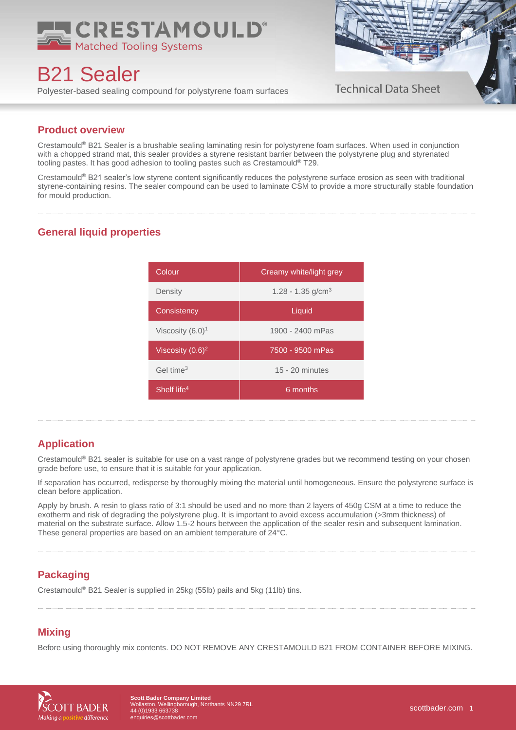

B21 Sealer

Polyester-based sealing compound for polystyrene foam surfaces



## **Product overview**

Crestamould® B21 Sealer is a brushable sealing laminating resin for polystyrene foam surfaces. When used in conjunction with a chopped strand mat, this sealer provides a styrene resistant barrier between the polystyrene plug and styrenated tooling pastes. It has good adhesion to tooling pastes such as Crestamould® T29.

Crestamould® B21 sealer's low styrene content significantly reduces the polystyrene surface erosion as seen with traditional styrene-containing resins. The sealer compound can be used to laminate CSM to provide a more structurally stable foundation for mould production.

## **General liquid properties**

| Colour                  | Creamy white/light grey |
|-------------------------|-------------------------|
| Density                 | 1.28 - 1.35 $q/cm3$     |
| Consistency             | Liquid                  |
| Viscosity $(6.0)^1$     | 1900 - 2400 mPas        |
| Viscosity $(0.6)^2$     | 7500 - 9500 mPas        |
| Gel time <sup>3</sup>   | $15 - 20$ minutes       |
| Shelf life <sup>4</sup> | 6 months                |

## **Application**

Crestamould® B21 sealer is suitable for use on a vast range of polystyrene grades but we recommend testing on your chosen grade before use, to ensure that it is suitable for your application.

If separation has occurred, redisperse by thoroughly mixing the material until homogeneous. Ensure the polystyrene surface is clean before application.

Apply by brush. A resin to glass ratio of 3:1 should be used and no more than 2 layers of 450g CSM at a time to reduce the exotherm and risk of degrading the polystyrene plug. It is important to avoid excess accumulation (>3mm thickness) of material on the substrate surface. Allow 1.5-2 hours between the application of the sealer resin and subsequent lamination. These general properties are based on an ambient temperature of 24°C.

## **Packaging**

Crestamould® B21 Sealer is supplied in 25kg (55lb) pails and 5kg (11lb) tins.

# **Mixing**

Before using thoroughly mix contents. DO NOT REMOVE ANY CRESTAMOULD B21 FROM CONTAINER BEFORE MIXING.



**ott Bader Company Limited** Wollaston, Wellingborough, Northants NN29 7RL 44 (0)1933 663738 [enquiries@scottbader.com](mailto:enquiries@scottbader.com)